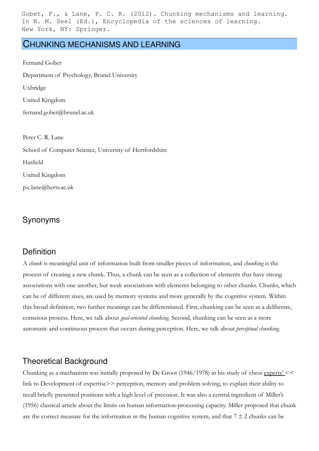Gobet, F., & Lane, P. C. R. (2012). Chunking mechanisms and learning. In N. M. Seel (Ed.), Encyclopedia of the sciences of learning. New York, NY: Springer.

# CHUNKING MECHANISMS AND LEARNING

Fernand Gobet Department of Psychology, Brunel University Uxbridge United Kingdom fernand.gobet@brunel.ac.uk

Peter C. R. Lane School of Computer Science, University of Hertfordshire Hatfield United Kingdom p.c.lane@herts.ac.uk

# Synonyms

### **Definition**

A *chunk* is meaningful unit of information built from smaller pieces of information, and *chunking* is the process of creating a new chunk. Thus, a chunk can be seen as a collection of elements that have strong associations with one another, but weak associations with elements belonging to other chunks. Chunks, which can be of different sizes, are used by memory systems and more generally by the cognitive system. Within this broad definition, two further meanings can be differentiated. First, chunking can be seen as a deliberate, conscious process. Here, we talk about goal-oriented chunking. Second, chunking can be seen as a more automatic and continuous process that occurs during perception. Here, we talk about perceptual chunking.

# Theoretical Background

Chunking as a mechanism was initially proposed by De Groot (1946/1978) in his study of chess experts' << link to Development of expertise>> perception, memory and problem solving, to explain their ability to recall briefly presented positions with a high level of precision. It was also a central ingredient of Miller's (1956) classical article about the limits on human information-processing capacity. Miller proposed that chunk are the correct measure for the information in the human cognitive system, and that  $7 \pm 2$  chunks can be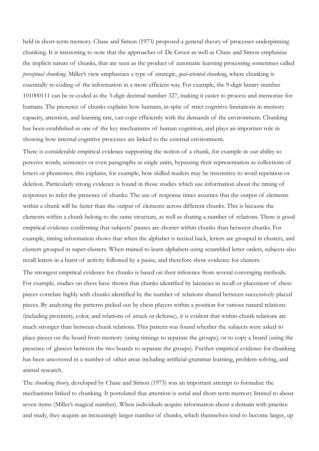held in short-term memory. Chase and Simon (1973) proposed a general theory of processes underpinning chunking. It is interesting to note that the approaches of De Groot as well as Chase and Simon emphasize the implicit nature of chunks, that are seen as the product of automatic learning processing sometimes called perceptual chunking. Miller's view emphasizes a type of strategic, goal-oriented chunking, where chunking is essentially re-coding of the information in a more efficient way. For example, the 9-digit binary number 101000111 can be re-coded as the 3-digit decimal number 327, making it easier to process and memorize for humans. The presence of chunks explains how humans, in spite of strict cognitive limitations in memory capacity, attention, and learning rate, can cope efficiently with the demands of the environment. Chunking has been established as one of the key mechanisms of human cognition, and plays an important role in showing how internal cognitive processes are linked to the external environment.

There is considerable empirical evidence supporting the notion of a chunk, for example in our ability to perceive words, sentences or even paragraphs as single units, bypassing their representation as collections of letters or phonemes; this explains, for example, how skilled readers may be insensitive to word repetition or deletion. Particularly strong evidence is found in those studies which use information about the timing of responses to infer the presence of chunks. The use of response times assumes that the output of elements within a chunk will be faster than the output of elements across different chunks. This is because the elements within a chunk belong to the same structure, as well as sharing a number of relations. There is good empirical evidence confirming that subjects' pauses are shorter within chunks than between chunks. For example, timing information shows that when the alphabet is recited back, letters are grouped in clusters, and clusters grouped in super-clusters. When trained to learn alphabets using scrambled letter orders, subjects also recall letters in a burst of activity followed by a pause, and therefore show evidence for clusters.

The strongest empirical evidence for chunks is based on their inference from several converging methods. For example, studies on chess have shown that chunks identified by latencies in recall or placement of chess pieces correlate highly with chunks identified by the number of relations shared between successively placed pieces. By analyzing the patterns picked out by chess players within a position for various natural relations (including proximity, color, and relations of attack or defense), it is evident that within-chunk relations are much stronger than between-chunk relations. This pattern was found whether the subjects were asked to place pieces on the board from memory (using timings to separate the groups), or to copy a board (using the presence of glances between the two boards to separate the groups). Further empirical evidence for chunking has been uncovered in a number of other areas including artificial-grammar learning, problem solving, and animal research.

The chunking theory, developed by Chase and Simon (1973) was an important attempt to formalize the mechanisms linked to chunking. It postulated that attention is serial and short-term memory limited to about seven items (Miller's magical number). When individuals acquire information about a domain with practice and study, they acquire an increasingly larger number of chunks, which themselves tend to become larger, up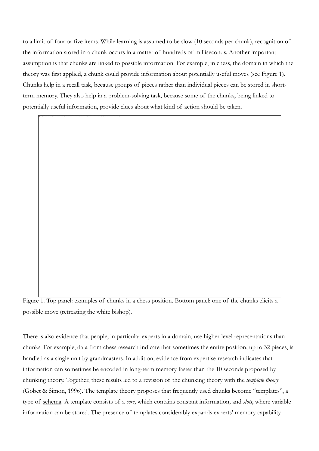to a limit of four or five items. While learning is assumed to be slow (10 seconds per chunk), recognition of the information stored in a chunk occurs in a matter of hundreds of milliseconds. Another important assumption is that chunks are linked to possible information. For example, in chess, the domain in which the theory was first applied, a chunk could provide information about potentially useful moves (see Figure 1). Chunks help in a recall task, because groups of pieces rather than individual pieces can be stored in shortterm memory. They also help in a problem-solving task, because some of the chunks, being linked to potentially useful information, provide clues about what kind of action should be taken.

The legacy cannot be displayed. Your computer may not have enough memory to coant the impact, or the impact have computed, Ambert court computer, and then south of the aude. If the red is assume, you may have to about the

Figure 1. Top panel: examples of chunks in a chess position. Bottom panel: one of the chunks elicits a possible move (retreating the white bishop).

There is also evidence that people, in particular experts in a domain, use higher-level representations than chunks. For example, data from chess research indicate that sometimes the entire position, up to 32 pieces, is handled as a single unit by grandmasters. In addition, evidence from expertise research indicates that information can sometimes be encoded in long-term memory faster than the 10 seconds proposed by chunking theory. Together, these results led to a revision of the chunking theory with the template theory (Gobet & Simon, 1996). The template theory proposes that frequently used chunks become "templates", a type of schema. A template consists of a core, which contains constant information, and slots, where variable information can be stored. The presence of templates considerably expands experts' memory capability.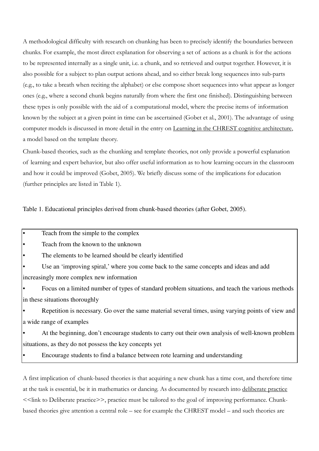A methodological difficulty with research on chunking has been to precisely identify the boundaries between chunks. For example, the most direct explanation for observing a set of actions as a chunk is for the actions to be represented internally as a single unit, i.e. a chunk, and so retrieved and output together. However, it is also possible for a subject to plan output actions ahead, and so either break long sequences into sub-parts (e.g., to take a breath when reciting the alphabet) or else compose short sequences into what appear as longer ones (e.g., where a second chunk begins naturally from where the first one finished). Distinguishing between these types is only possible with the aid of a computational model, where the precise items of information known by the subject at a given point in time can be ascertained (Gobet et al., 2001). The advantage of using computer models is discussed in more detail in the entry on Learning in the CHREST cognitive architecture, a model based on the template theory.

Chunk-based theories, such as the chunking and template theories, not only provide a powerful explanation of learning and expert behavior, but also offer useful information as to how learning occurs in the classroom and how it could be improved (Gobet, 2005). We briefly discuss some of the implications for education (further principles are listed in Table 1).

Table 1. Educational principles derived from chunk-based theories (after Gobet, 2005).

| I۰                                                      | Teach from the simple to the complex                                                               |
|---------------------------------------------------------|----------------------------------------------------------------------------------------------------|
| ŀ                                                       | Teach from the known to the unknown                                                                |
| ŀ                                                       | The elements to be learned should be clearly identified                                            |
|                                                         | Use an 'improving spiral,' where you come back to the same concepts and ideas and add              |
| increasingly more complex new information               |                                                                                                    |
|                                                         | Focus on a limited number of types of standard problem situations, and teach the various methods   |
| in these situations thoroughly                          |                                                                                                    |
|                                                         | Repetition is necessary. Go over the same material several times, using varying points of view and |
| a wide range of examples                                |                                                                                                    |
|                                                         | At the beginning, don't encourage students to carry out their own analysis of well-known problem   |
| situations, as they do not possess the key concepts yet |                                                                                                    |
|                                                         |                                                                                                    |

• Encourage students to find a balance between rote learning and understanding

A first implication of chunk-based theories is that acquiring a new chunk has a time cost, and therefore time at the task is essential, be it in mathematics or dancing. As documented by research into deliberate practice <<link to Deliberate practice>>, practice must be tailored to the goal of improving performance. Chunkbased theories give attention a central role – see for example the CHREST model – and such theories are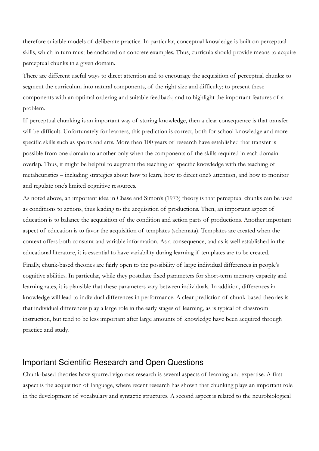therefore suitable models of deliberate practice. In particular, conceptual knowledge is built on perceptual skills, which in turn must be anchored on concrete examples. Thus, curricula should provide means to acquire perceptual chunks in a given domain.

There are different useful ways to direct attention and to encourage the acquisition of perceptual chunks: to segment the curriculum into natural components, of the right size and difficulty; to present these components with an optimal ordering and suitable feedback; and to highlight the important features of a problem.

If perceptual chunking is an important way of storing knowledge, then a clear consequence is that transfer will be difficult. Unfortunately for learners, this prediction is correct, both for school knowledge and more specific skills such as sports and arts. More than 100 years of research have established that transfer is possible from one domain to another only when the components of the skills required in each domain overlap. Thus, it might be helpful to augment the teaching of specific knowledge with the teaching of metaheuristics – including strategies about how to learn, how to direct one's attention, and how to monitor and regulate one's limited cognitive resources.

As noted above, an important idea in Chase and Simon's (1973) theory is that perceptual chunks can be used as conditions to actions, thus leading to the acquisition of productions. Then, an important aspect of education is to balance the acquisition of the condition and action parts of productions. Another important aspect of education is to favor the acquisition of templates (schemata). Templates are created when the context offers both constant and variable information. As a consequence, and as is well established in the educational literature, it is essential to have variability during learning if templates are to be created. Finally, chunk-based theories are fairly open to the possibility of large individual differences in people's cognitive abilities. In particular, while they postulate fixed parameters for short-term memory capacity and learning rates, it is plausible that these parameters vary between individuals. In addition, differences in knowledge will lead to individual differences in performance. A clear prediction of chunk-based theories is that individual differences play a large role in the early stages of learning, as is typical of classroom instruction, but tend to be less important after large amounts of knowledge have been acquired through practice and study.

### Important Scientific Research and Open Questions

Chunk-based theories have spurred vigorous research is several aspects of learning and expertise. A first aspect is the acquisition of language, where recent research has shown that chunking plays an important role in the development of vocabulary and syntactic structures. A second aspect is related to the neurobiological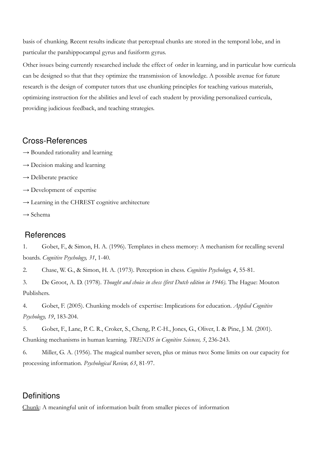basis of chunking. Recent results indicate that perceptual chunks are stored in the temporal lobe, and in particular the parahippocampal gyrus and fusiform gyrus.

Other issues being currently researched include the effect of order in learning, and in particular how curricula can be designed so that that they optimize the transmission of knowledge. A possible avenue for future research is the design of computer tutors that use chunking principles for teaching various materials, optimizing instruction for the abilities and level of each student by providing personalized curricula, providing judicious feedback, and teaching strategies.

### Cross-References

- $\rightarrow$  Bounded rationality and learning
- $\rightarrow$  Decision making and learning
- $\rightarrow$  Deliberate practice
- $\rightarrow$  Development of expertise
- $\rightarrow$  Learning in the CHREST cognitive architecture
- $\rightarrow$  Schema

#### **References**

1. Gobet, F., & Simon, H. A. (1996). Templates in chess memory: A mechanism for recalling several boards. Cognitive Psychology, 31, 1-40.

2. Chase, W. G., & Simon, H. A. (1973). Perception in chess. Cognitive Psychology, 4, 55-81.

3. De Groot, A. D. (1978). Thought and choice in chess (first Dutch edition in 1946). The Hague: Mouton Publishers.

4. Gobet, F. (2005). Chunking models of expertise: Implications for education. Applied Cognitive Psychology, 19, 183-204.

5. Gobet, F., Lane, P. C. R., Croker, S., Cheng, P. C-H., Jones, G., Oliver, I. & Pine, J. M. (2001). Chunking mechanisms in human learning. TRENDS in Cognitive Sciences, 5, 236-243.

6. Miller, G. A. (1956). The magical number seven, plus or minus two: Some limits on our capacity for processing information. Psychological Review, 63, 81-97.

### **Definitions**

Chunk: A meaningful unit of information built from smaller pieces of information